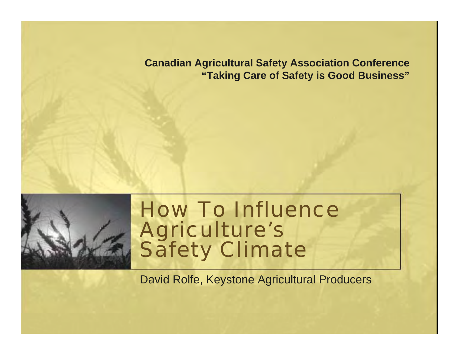**Canadian Agricultural Safety Association Conference "Taking Care of Safety is Good Business"**



#### How To Influence Agriculture's Safety Climate

David Rolfe, Keystone Agricultural Producers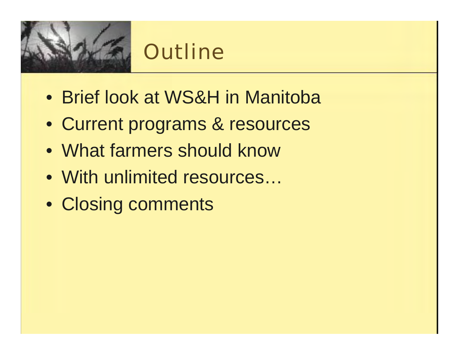

### **Outline**

- Brief look at WS&H in Manitoba
- Current programs & resources
- What farmers should know
- With unlimited resources...
- Closing comments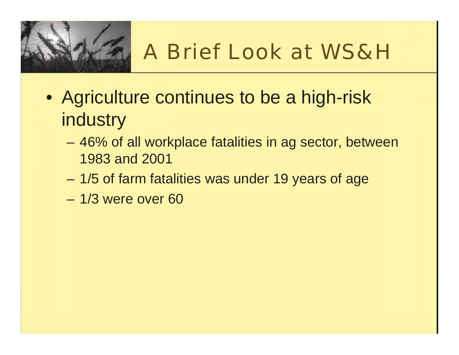

# A Brief Look at WS&H

- Agriculture continues to be a high-risk **industry** 
	- 46% of all workplace fatalities in ag sector, between 1983 and 2001
	- 1/5 of farm fatalities was under 19 years of age
	- 1/3 were over 60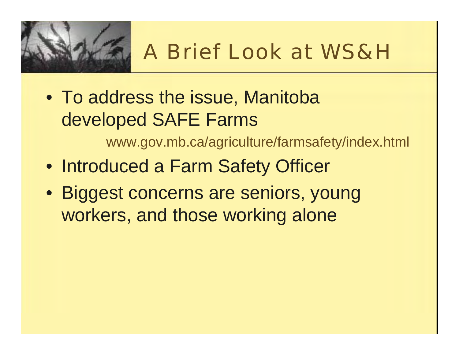

# A Brief Look at WS&H

• To address the issue, Manitoba developed SAFE Farms

www.gov.mb.ca/agriculture/farmsafety/index.html

- Introduced a Farm Safety Officer
- Biggest concerns are seniors, young workers, and those working alone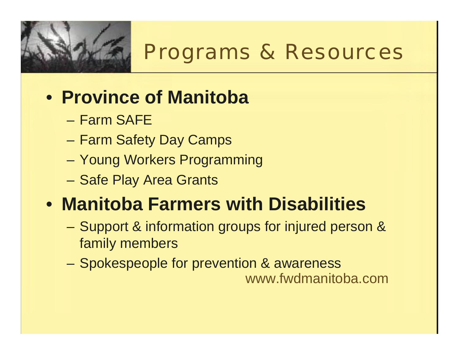

#### Programs & Resources

#### • **Province of Manitoba**

- Farm SAFE
- Farm Safety Day Camps
- Young Workers Programming
- Safe Play Area Grants

#### • **Manitoba Farmers with Disabilities**

- Support & information groups for injured person & family members
- $\mathcal{L}_{\mathcal{A}}$  Spokespeople for prevention & awareness www.fwdmanitoba.com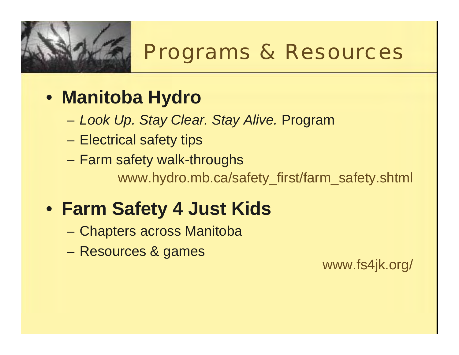

#### Programs & Resources

#### • **Manitoba Hydro**

- *Look Up. Stay Clear. Stay Alive.* Program
- Electrical safety tips
- Farm safety walk-throughs www.hydro.mb.ca/safety\_first/farm\_safety.shtml

#### • **Farm Safety 4 Just Kids**

- Chapters across Manitoba
- Resources & games

www.fs4jk.org/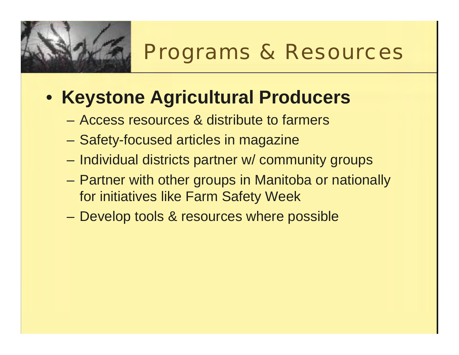

#### Programs & Resources

#### • **Keystone Agricultural Producers**

- Access resources & distribute to farmers
- Safety-focused articles in magazine
- Individual districts partner w/ community groups
- Partner with other groups in Manitoba or nationally for initiatives like Farm Safety Week
- Develop tools & resources where possible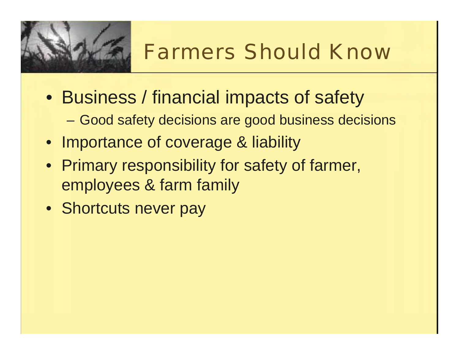

# Farmers Should Know

- Business / financial impacts of safety
	- Good safety decisions are good business decisions
- Importance of coverage & liability
- Primary responsibility for safety of farmer, employees & farm family
- Shortcuts never pay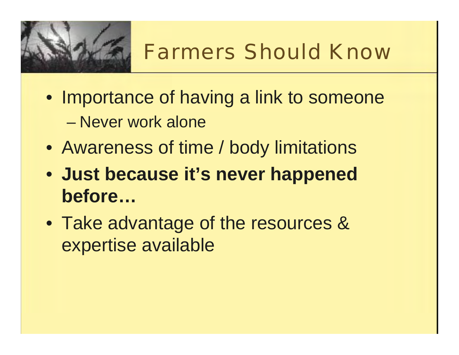

# Farmers Should Know

- Importance of having a link to someone
	- Never work alone
- Awareness of time / body limitations
- **Just because it's never happened before…**
- Take advantage of the resources & expertise available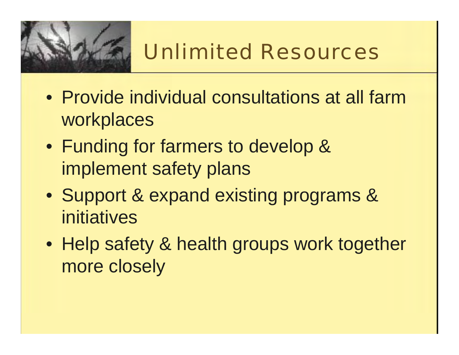

# Unlimited Resources

- Provide individual consultations at all farm workplaces
- Funding for farmers to develop & implement safety plans
- Support & expand existing programs & initiatives
- Help safety & health groups work together more closely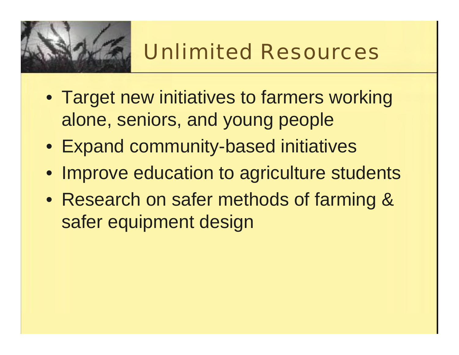

# Unlimited Resources

- Target new initiatives to farmers working alone, seniors, and young people
- Expand community-based initiatives
- Improve education to agriculture students
- Research on safer methods of farming & safer equipment design